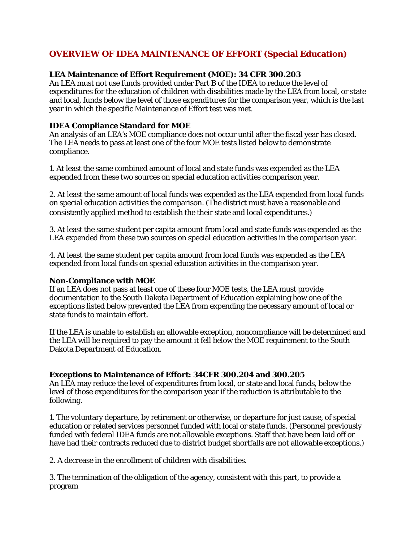# **OVERVIEW OF IDEA MAINTENANCE OF EFFORT (Special Education)**

## **LEA Maintenance of Effort Requirement (MOE): 34 CFR 300.203**

An LEA must not use funds provided under Part B of the IDEA to reduce the level of expenditures for the education of children with disabilities made by the LEA from local, or state and local, funds below the level of those expenditures for the comparison year, which is the last year in which the specific Maintenance of Effort test was met.

## **IDEA Compliance Standard for MOE**

An analysis of an LEA's MOE compliance does not occur until after the fiscal year has closed. The LEA needs to pass at least one of the four MOE tests listed below to demonstrate compliance.

1. At least the same combined amount of local and state funds was expended as the LEA expended from these two sources on special education activities comparison year.

2. At least the same amount of local funds was expended as the LEA expended from local funds on special education activities the comparison. (The district must have a reasonable and consistently applied method to establish the their state and local expenditures.)

3. At least the same student per capita amount from local and state funds was expended as the LEA expended from these two sources on special education activities in the comparison year.

4. At least the same student per capita amount from local funds was expended as the LEA expended from local funds on special education activities in the comparison year.

### **Non-Compliance with MOE**

If an LEA does not pass at least one of these four MOE tests, the LEA must provide documentation to the South Dakota Department of Education explaining how one of the exceptions listed below prevented the LEA from expending the necessary amount of local or state funds to maintain effort.

If the LEA is unable to establish an allowable exception, noncompliance will be determined and the LEA will be required to pay the amount it fell below the MOE requirement to the South Dakota Department of Education.

### **Exceptions to Maintenance of Effort: 34CFR 300.204 and 300.205**

An LEA may reduce the level of expenditures from local, or state and local funds, below the level of those expenditures for the comparison year if the reduction is attributable to the following.

1. The voluntary departure, by retirement or otherwise, or departure for just cause, of special education or related services personnel funded with local or state funds. (Personnel previously funded with federal IDEA funds are not allowable exceptions. Staff that have been laid off or have had their contracts reduced due to district budget shortfalls are not allowable exceptions.)

2. A decrease in the enrollment of children with disabilities.

3. The termination of the obligation of the agency, consistent with this part, to provide a program